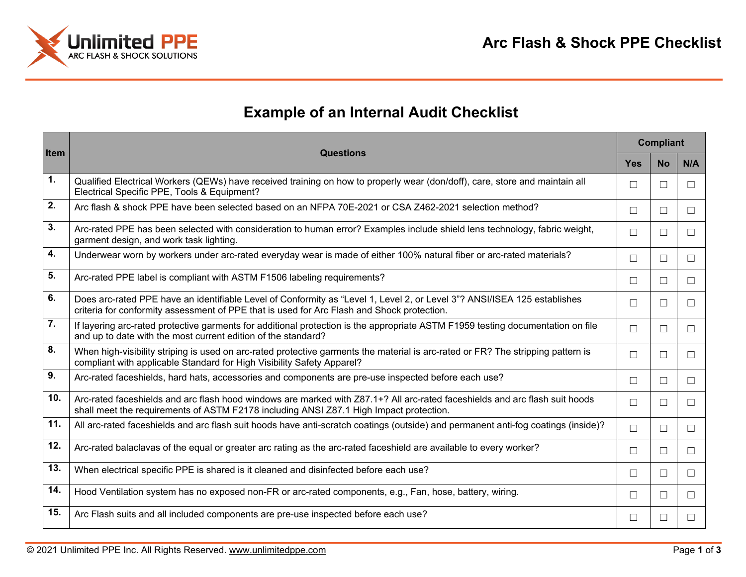

## **Example of an Internal Audit Checklist**

| Item            | <b>Questions</b>                                                                                                                                                                                                       | <b>Compliant</b> |           |         |
|-----------------|------------------------------------------------------------------------------------------------------------------------------------------------------------------------------------------------------------------------|------------------|-----------|---------|
|                 |                                                                                                                                                                                                                        | <b>Yes</b>       | <b>No</b> | N/A     |
| 1.              | Qualified Electrical Workers (QEWs) have received training on how to properly wear (don/doff), care, store and maintain all<br>Electrical Specific PPE, Tools & Equipment?                                             | П                | Ш         |         |
| 2.              | Arc flash & shock PPE have been selected based on an NFPA 70E-2021 or CSA Z462-2021 selection method?                                                                                                                  | П                | $\Box$    | $\perp$ |
| 3.              | Arc-rated PPE has been selected with consideration to human error? Examples include shield lens technology, fabric weight,<br>garment design, and work task lighting.                                                  | $\Box$           | $\Box$    | $\Box$  |
| 4.              | Underwear worn by workers under arc-rated everyday wear is made of either 100% natural fiber or arc-rated materials?                                                                                                   | П                | □         | П       |
| 5.              | Arc-rated PPE label is compliant with ASTM F1506 labeling requirements?                                                                                                                                                | □                | $\Box$    | П       |
| 6.              | Does arc-rated PPE have an identifiable Level of Conformity as "Level 1, Level 2, or Level 3"? ANSI/ISEA 125 establishes<br>criteria for conformity assessment of PPE that is used for Arc Flash and Shock protection. | П                | $\Box$    | $\Box$  |
| 7.              | If layering arc-rated protective garments for additional protection is the appropriate ASTM F1959 testing documentation on file<br>and up to date with the most current edition of the standard?                       | П                | □         | $\Box$  |
| 8.              | When high-visibility striping is used on arc-rated protective garments the material is arc-rated or FR? The stripping pattern is<br>compliant with applicable Standard for High Visibility Safety Apparel?             | □                | □         | $\Box$  |
| 9.              | Arc-rated faceshields, hard hats, accessories and components are pre-use inspected before each use?                                                                                                                    | □                | □         | $\perp$ |
| 10 <sub>1</sub> | Arc-rated faceshields and arc flash hood windows are marked with Z87.1+? All arc-rated faceshields and arc flash suit hoods<br>shall meet the requirements of ASTM F2178 including ANSI Z87.1 High Impact protection.  | $\Box$           | П         | $\Box$  |
| 11.             | All arc-rated faceshields and arc flash suit hoods have anti-scratch coatings (outside) and permanent anti-fog coatings (inside)?                                                                                      | $\Box$           | $\Box$    | $\Box$  |
| 12.             | Arc-rated balaclavas of the equal or greater arc rating as the arc-rated faceshield are available to every worker?                                                                                                     | $\Box$           | □         | $\Box$  |
| 13.             | When electrical specific PPE is shared is it cleaned and disinfected before each use?                                                                                                                                  | □                | □         | П       |
| 14.             | Hood Ventilation system has no exposed non-FR or arc-rated components, e.g., Fan, hose, battery, wiring.                                                                                                               | П                | П         | П       |
| 15.             | Arc Flash suits and all included components are pre-use inspected before each use?                                                                                                                                     | П                | ш         |         |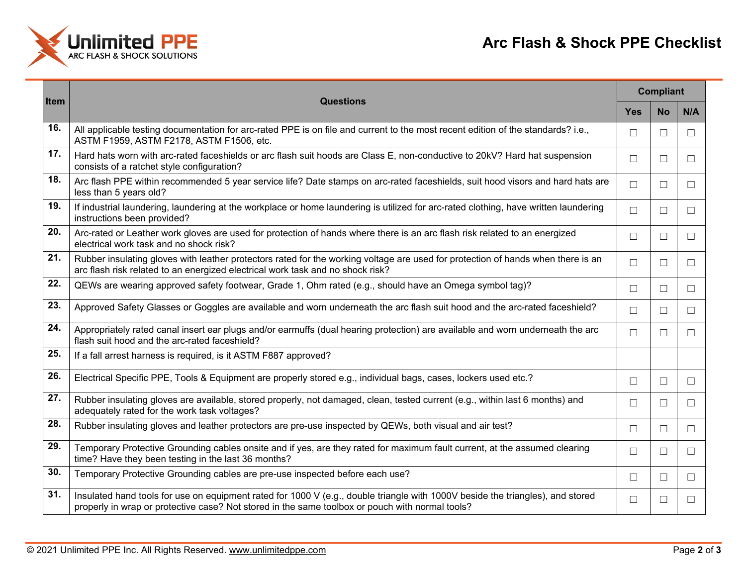

| Item | <b>Questions</b>                                                                                                                                                                                                                  | <b>Compliant</b> |           |        |
|------|-----------------------------------------------------------------------------------------------------------------------------------------------------------------------------------------------------------------------------------|------------------|-----------|--------|
|      |                                                                                                                                                                                                                                   | <b>Yes</b>       | <b>No</b> | N/A    |
| 16.  | All applicable testing documentation for arc-rated PPE is on file and current to the most recent edition of the standards? i.e.,<br>ASTM F1959, ASTM F2178, ASTM F1506, etc.                                                      | □                | ⊔         | ш      |
| 17.  | Hard hats worn with arc-rated faceshields or arc flash suit hoods are Class E, non-conductive to 20kV? Hard hat suspension<br>consists of a ratchet style configuration?                                                          | □                | ш         | ш      |
| 18.  | Arc flash PPE within recommended 5 year service life? Date stamps on arc-rated faceshields, suit hood visors and hard hats are<br>less than 5 years old?                                                                          | $\Box$           | $\Box$    | $\Box$ |
| 19.  | If industrial laundering, laundering at the workplace or home laundering is utilized for arc-rated clothing, have written laundering<br>instructions been provided?                                                               | $\Box$           | $\Box$    | $\Box$ |
| 20.  | Arc-rated or Leather work gloves are used for protection of hands where there is an arc flash risk related to an energized<br>electrical work task and no shock risk?                                                             | □                | $\Box$    | □      |
| 21.  | Rubber insulating gloves with leather protectors rated for the working voltage are used for protection of hands when there is an<br>arc flash risk related to an energized electrical work task and no shock risk?                | □                | $\Box$    | $\Box$ |
| 22.  | QEWs are wearing approved safety footwear, Grade 1, Ohm rated (e.g., should have an Omega symbol tag)?                                                                                                                            | $\Box$           | $\Box$    | $\Box$ |
| 23.  | Approved Safety Glasses or Goggles are available and worn underneath the arc flash suit hood and the arc-rated faceshield?                                                                                                        | $\Box$           | $\Box$    | $\Box$ |
| 24.  | Appropriately rated canal insert ear plugs and/or earmuffs (dual hearing protection) are available and worn underneath the arc<br>flash suit hood and the arc-rated faceshield?                                                   | $\Box$           | $\Box$    | $\Box$ |
| 25.  | If a fall arrest harness is required, is it ASTM F887 approved?                                                                                                                                                                   |                  |           |        |
| 26.  | Electrical Specific PPE, Tools & Equipment are properly stored e.g., individual bags, cases, lockers used etc.?                                                                                                                   | $\Box$           | $\Box$    | $\Box$ |
| 27.  | Rubber insulating gloves are available, stored properly, not damaged, clean, tested current (e.g., within last 6 months) and<br>adequately rated for the work task voltages?                                                      | $\Box$           | $\Box$    | $\Box$ |
| 28.  | Rubber insulating gloves and leather protectors are pre-use inspected by QEWs, both visual and air test?                                                                                                                          | $\Box$           | $\Box$    | $\Box$ |
| 29.  | Temporary Protective Grounding cables onsite and if yes, are they rated for maximum fault current, at the assumed clearing<br>time? Have they been testing in the last 36 months?                                                 | $\Box$           | $\Box$    | $\Box$ |
| 30.  | Temporary Protective Grounding cables are pre-use inspected before each use?                                                                                                                                                      | □                | $\Box$    | □      |
| 31.  | Insulated hand tools for use on equipment rated for 1000 V (e.g., double triangle with 1000V beside the triangles), and stored<br>properly in wrap or protective case? Not stored in the same toolbox or pouch with normal tools? | □                | □         | $\Box$ |